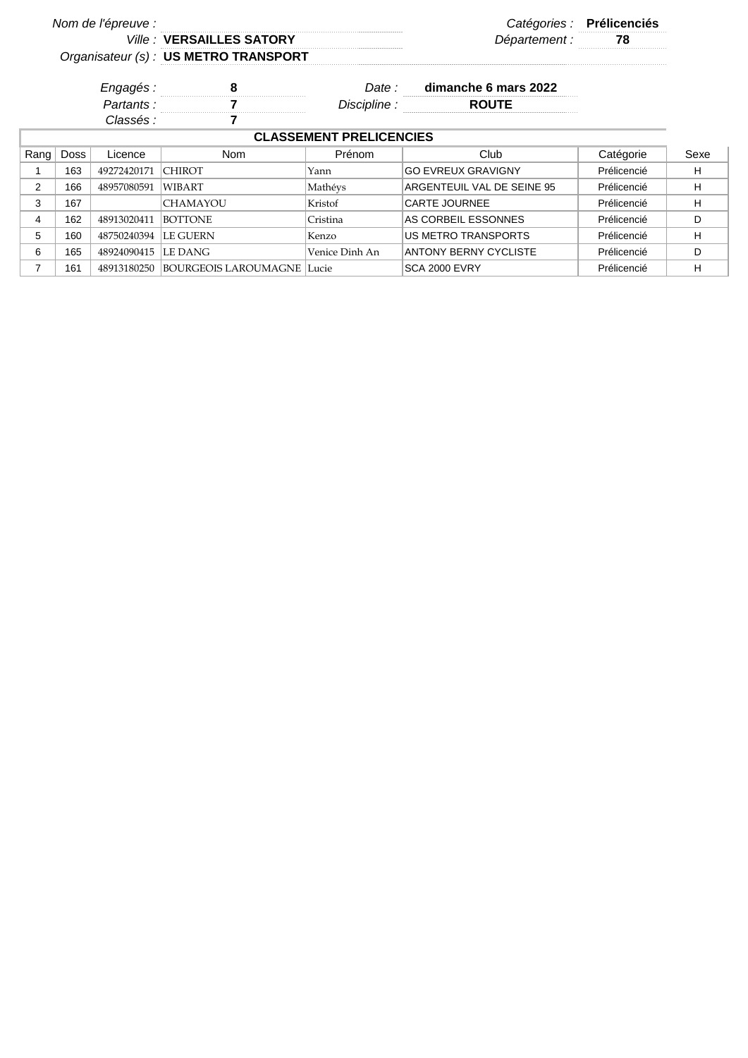| Nom de l'épreuve :             |             |             |                                       |                |                              | Catégories : Prélicenciés |      |  |  |
|--------------------------------|-------------|-------------|---------------------------------------|----------------|------------------------------|---------------------------|------|--|--|
|                                |             |             | <b>Ville: VERSAILLES SATORY</b>       |                | Département :                | 78                        |      |  |  |
|                                |             |             | Organisateur (s) : US METRO TRANSPORT |                |                              |                           |      |  |  |
|                                |             | Engagés:    |                                       | Date :         | dimanche 6 mars 2022         |                           |      |  |  |
|                                |             | Partants:   |                                       | Discipline :   | <b>ROUTE</b>                 |                           |      |  |  |
|                                |             | Classés :   |                                       |                |                              |                           |      |  |  |
| <b>CLASSEMENT PRELICENCIES</b> |             |             |                                       |                |                              |                           |      |  |  |
| Rang                           | <b>Doss</b> | Licence     | <b>Nom</b>                            | Prénom         | Club                         | Catégorie                 | Sexe |  |  |
|                                | 163         | 49272420171 | <b>CHIROT</b>                         | Yann           | <b>GO EVREUX GRAVIGNY</b>    | Prélicencié               | н    |  |  |
| 2                              | 166         | 48957080591 | WIBART                                | Mathéys        | ARGENTEUIL VAL DE SEINE 95   | Prélicencié               | H    |  |  |
| 3                              | 167         |             | <b>CHAMAYOU</b>                       | Kristof        | <b>CARTE JOURNEE</b>         | Prélicencié               | н    |  |  |
| 4                              | 162         | 48913020411 | <b>BOTTONE</b>                        | Cristina       | AS CORBEIL ESSONNES          | Prélicencié               | D    |  |  |
| 5                              | 160         | 48750240394 | <b>LE GUERN</b>                       | Kenzo          | US METRO TRANSPORTS          | Prélicencié               | н    |  |  |
| 6                              | 165         | 48924090415 | LE DANG                               | Venice Dinh An | <b>ANTONY BERNY CYCLISTE</b> | Prélicencié               | D    |  |  |
| 7                              | 161         | 48913180250 | <b>BOURGEOIS LAROUMAGNE Lucie</b>     |                | <b>SCA 2000 EVRY</b>         | Prélicencié               | н    |  |  |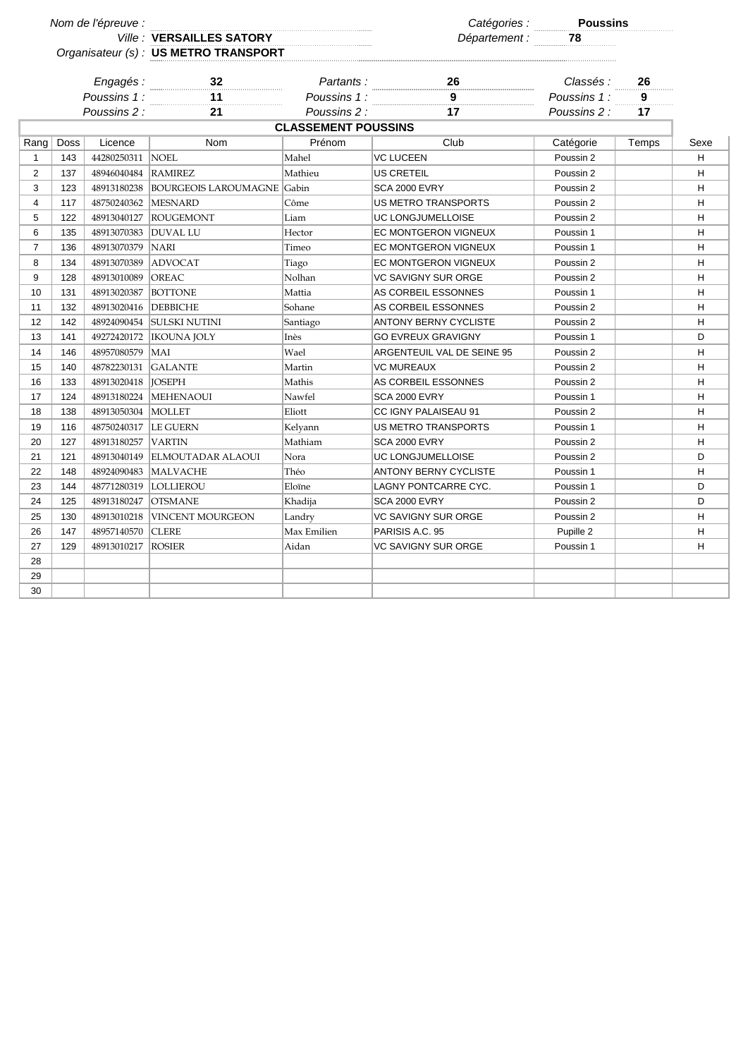| Nom de l'épreuve : |      |                        |                                       |                            |                              |                                                  |                |      |
|--------------------|------|------------------------|---------------------------------------|----------------------------|------------------------------|--------------------------------------------------|----------------|------|
|                    |      |                        | Ville : VERSAILLES SATORY             |                            |                              | Catégories : <b>Poussins</b><br>Département : 28 |                |      |
|                    |      |                        | Organisateur (s) : US METRO TRANSPORT |                            |                              |                                                  |                |      |
|                    |      |                        |                                       |                            |                              |                                                  |                |      |
|                    |      |                        | Engagés :<br>32                       | Partants:                  | 26<br>$\overline{9}$         | Classés :                                        | 26             |      |
|                    |      |                        | Poussins 1 : 11<br>$\overline{11}$    |                            | Poussins $1:$ 9              | Poussins 1:                                      | $\overline{9}$ |      |
|                    |      | Poussins 2 :           | 21                                    | Poussins 2 :               | 17                           | Poussins 2 :                                     | 17             |      |
|                    |      |                        |                                       | <b>CLASSEMENT POUSSINS</b> |                              |                                                  |                |      |
| Rang               | Doss | Licence                | <b>Nom</b>                            | Prénom                     | Club                         | Catégorie                                        | Temps          | Sexe |
| $\mathbf{1}$       | 143  | 44280250311            | <b>NOEL</b>                           | Mahel                      | <b>VC LUCEEN</b>             | Poussin 2                                        |                | H    |
| 2                  | 137  | 48946040484 RAMIREZ    |                                       | Mathieu                    | <b>US CRETEIL</b>            | Poussin 2                                        |                | н    |
| 3                  | 123  | 48913180238            | <b>BOURGEOIS LAROUMAGNE</b> Gabin     |                            | <b>SCA 2000 EVRY</b>         | Poussin 2                                        |                | H    |
| $\overline{4}$     | 117  | 48750240362 MESNARD    |                                       | Côme                       | <b>US METRO TRANSPORTS</b>   | Poussin 2                                        |                | H    |
| 5                  | 122  |                        | 48913040127 ROUGEMONT                 | Liam                       | UC LONGJUMELLOISE            | Poussin 2                                        |                | H    |
| 6                  | 135  | 48913070383  DUVAL LU  |                                       | Hector                     | EC MONTGERON VIGNEUX         | Poussin 1                                        |                | H    |
| $\overline{7}$     | 136  | 48913070379            | <b>NARI</b>                           | Timeo                      | EC MONTGERON VIGNEUX         | Poussin 1                                        |                | Н    |
| 8                  | 134  | 48913070389            | ADVOCAT                               | Tiago                      | <b>EC MONTGERON VIGNEUX</b>  | Poussin 2                                        |                | H    |
| 9                  | 128  | 48913010089            | <b>OREAC</b>                          | Nolhan                     | <b>VC SAVIGNY SUR ORGE</b>   | Poussin 2                                        |                | н    |
| 10                 | 131  | 48913020387            | <b>BOTTONE</b>                        | Mattia                     | AS CORBEIL ESSONNES          | Poussin 1                                        |                | H    |
| 11                 | 132  | 48913020416   DEBBICHE |                                       | Sohane                     | AS CORBEIL ESSONNES          | Poussin 2                                        |                | H    |
| 12                 | 142  |                        | 48924090454 SULSKI NUTINI             | Santiago                   | <b>ANTONY BERNY CYCLISTE</b> | Poussin 2                                        |                | H    |
| 13                 | 141  |                        | 49272420172  IKOUNA JOLY              | Inès                       | <b>GO EVREUX GRAVIGNY</b>    | Poussin 1                                        |                | D    |
| 14                 | 146  | 48957080579 MAI        |                                       | Wael                       | ARGENTEUIL VAL DE SEINE 95   | Poussin 2                                        |                | н    |
| 15                 | 140  | 48782230131            | <b>GALANTE</b>                        | Martin                     | <b>VC MUREAUX</b>            | Poussin 2                                        |                | H    |
| 16                 | 133  | 48913020418  JOSEPH    |                                       | Mathis                     | AS CORBEIL ESSONNES          | Poussin 2                                        |                | н    |
| 17                 | 124  |                        | 48913180224 MEHENAOUI                 | Nawfel                     | SCA 2000 EVRY                | Poussin 1                                        |                | H    |
| 18                 | 138  | 48913050304   MOLLET   |                                       | Eliott                     | CC IGNY PALAISEAU 91         | Poussin 2                                        |                | н    |
| 19                 | 116  | 48750240317   LE GUERN |                                       | Kelyann                    | <b>US METRO TRANSPORTS</b>   | Poussin 1                                        |                | H    |
| 20                 | 127  | 48913180257            | <b>VARTIN</b>                         | Mathiam                    | SCA 2000 EVRY                | Poussin 2                                        |                | H    |
| 21                 | 121  | 48913040149            | <b>ELMOUTADAR ALAOUI</b>              | Nora                       | UC LONGJUMELLOISE            | Poussin 2                                        |                | D    |
| 22                 | 148  | 48924090483            | <b>MALVACHE</b>                       | Théo                       | <b>ANTONY BERNY CYCLISTE</b> | Poussin 1                                        |                | H    |
| 23                 | 144  | 48771280319            | <b>LOLLIEROU</b>                      | Eloïne                     | LAGNY PONTCARRE CYC.         | Poussin 1                                        |                | D    |
| 24                 | 125  | 48913180247            | <b>OTSMANE</b>                        | Khadija                    | <b>SCA 2000 EVRY</b>         | Poussin 2                                        |                | D    |
| 25                 | 130  | 48913010218            | <b>VINCENT MOURGEON</b>               | Landry                     | VC SAVIGNY SUR ORGE          | Poussin 2                                        |                | н    |
| 26                 | 147  | 48957140570            | <b>CLERE</b>                          | Max Emilien                | PARISIS A.C. 95              | Pupille 2                                        |                | H    |
| 27                 | 129  | 48913010217            | <b>ROSIER</b>                         | Aidan                      | <b>VC SAVIGNY SUR ORGE</b>   | Poussin 1                                        |                | н    |
| 28                 |      |                        |                                       |                            |                              |                                                  |                |      |
| 29                 |      |                        |                                       |                            |                              |                                                  |                |      |
| 30                 |      |                        |                                       |                            |                              |                                                  |                |      |
|                    |      |                        |                                       |                            |                              |                                                  |                |      |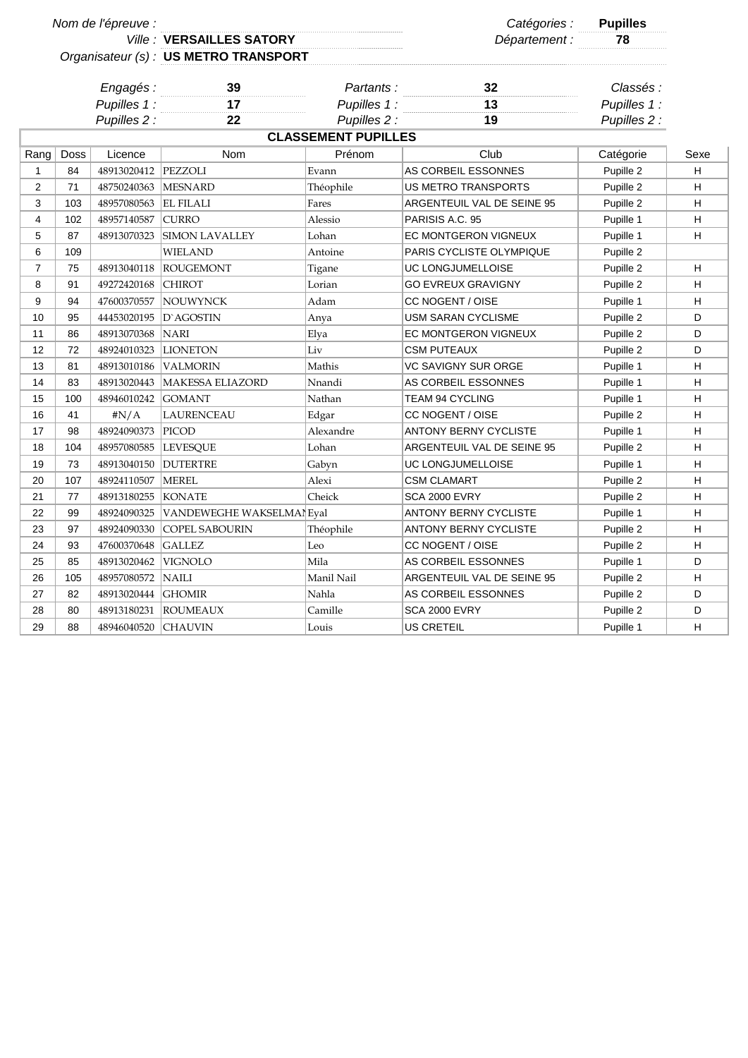|                |      | Nom de l'épreuve :    |                                       |                            | Catégories : Pupilles        |              |      |
|----------------|------|-----------------------|---------------------------------------|----------------------------|------------------------------|--------------|------|
|                |      |                       | <b>Ville: VERSAILLES SATORY</b>       |                            | Département :                | 78           |      |
|                |      |                       | Organisateur (s) : US METRO TRANSPORT |                            |                              |              |      |
|                |      | Engagés:              | 39                                    | Partants:                  | 32                           | Classés :    |      |
|                |      | Pupilles 1:           | 17                                    | Pupilles 1:                | 13                           | Pupilles 1 : |      |
|                |      | Pupilles 2 :          | 22                                    | Pupilles 2 :               | 19                           | Pupilles 2 : |      |
|                |      |                       |                                       | <b>CLASSEMENT PUPILLES</b> |                              |              |      |
| Rang           | Doss | Licence               | <b>Nom</b>                            | Prénom                     | Club                         | Catégorie    | Sexe |
| 1              | 84   | 48913020412 PEZZOLI   |                                       | Evann                      | AS CORBEIL ESSONNES          | Pupille 2    | н    |
| $\overline{2}$ | 71   | 48750240363 MESNARD   |                                       | Théophile                  | <b>US METRO TRANSPORTS</b>   | Pupille 2    | H    |
| 3              | 103  | 48957080563 EL FILALI |                                       | Fares                      | ARGENTEUIL VAL DE SEINE 95   | Pupille 2    | н    |
| 4              | 102  | 48957140587           | <b>CURRO</b>                          | Alessio                    | PARISIS A.C. 95              | Pupille 1    | H    |
| 5              | 87   | 48913070323           | <b>SIMON LAVALLEY</b>                 | Lohan                      | EC MONTGERON VIGNEUX         | Pupille 1    | H    |
| 6              | 109  |                       | <b>WIELAND</b>                        | Antoine                    | PARIS CYCLISTE OLYMPIQUE     | Pupille 2    |      |
| $\overline{7}$ | 75   |                       | 48913040118 ROUGEMONT                 | Tigane                     | UC LONGJUMELLOISE            | Pupille 2    | H    |
| 8              | 91   | 49272420168           | <b>CHIROT</b>                         | Lorian                     | <b>GO EVREUX GRAVIGNY</b>    | Pupille 2    | H    |
| 9              | 94   | 47600370557           | NOUWYNCK                              | Adam                       | CC NOGENT / OISE             | Pupille 1    | H    |
| 10             | 95   |                       | 44453020195   D`AGOSTIN               | Anya                       | USM SARAN CYCLISME           | Pupille 2    | D    |
| 11             | 86   | 48913070368           | <b>NARI</b>                           | Elya                       | EC MONTGERON VIGNEUX         | Pupille 2    | D    |
| 12             | 72   |                       | 48924010323 LIONETON                  | Liv                        | <b>CSM PUTEAUX</b>           | Pupille 2    | D    |
| 13             | 81   | 48913010186           | <b>VALMORIN</b>                       | Mathis                     | VC SAVIGNY SUR ORGE          | Pupille 1    | н    |
| 14             | 83   | 48913020443           | <b>MAKESSA ELIAZORD</b>               | Nnandi                     | AS CORBEIL ESSONNES          | Pupille 1    | H    |
| 15             | 100  | 48946010242 GOMANT    |                                       | Nathan                     | TEAM 94 CYCLING              | Pupille 1    | н    |
| 16             | 41   | $\#N/A$               | <b>LAURENCEAU</b>                     | Edgar                      | CC NOGENT / OISE             | Pupille 2    | H    |
| 17             | 98   | 48924090373  PICOD    |                                       | Alexandre                  | <b>ANTONY BERNY CYCLISTE</b> | Pupille 1    | н    |
| 18             | 104  | 48957080585  LEVESQUE |                                       | Lohan                      | ARGENTEUIL VAL DE SEINE 95   | Pupille 2    | H    |
| 19             | 73   | 48913040150           | <b>DUTERTRE</b>                       | Gabyn                      | UC LONGJUMELLOISE            | Pupille 1    | н    |
| 20             | 107  | 48924110507           | <b>MEREL</b>                          | Alexi                      | <b>CSM CLAMART</b>           | Pupille 2    | н    |
| 21             | 77   | 48913180255 KONATE    |                                       | Cheick                     | <b>SCA 2000 EVRY</b>         | Pupille 2    | H    |
| 22             | 99   |                       | 48924090325 VANDEWEGHE WAKSELMANEval  |                            | <b>ANTONY BERNY CYCLISTE</b> | Pupille 1    | н    |
| 23             | 97   | 48924090330           | <b>COPEL SABOURIN</b>                 | Théophile                  | <b>ANTONY BERNY CYCLISTE</b> | Pupille 2    | H    |
| 24             | 93   | 47600370648           | <b>GALLEZ</b>                         | Leo                        | CC NOGENT / OISE             | Pupille 2    | н    |
| 25             | 85   | 48913020462           | <b>VIGNOLO</b>                        | Mila                       | AS CORBEIL ESSONNES          | Pupille 1    | D    |
| 26             | 105  | 48957080572           | <b>NAILI</b>                          | Manil Nail                 | ARGENTEUIL VAL DE SEINE 95   | Pupille 2    | н    |
| 27             | 82   | 48913020444           | <b>GHOMIR</b>                         | Nahla                      | AS CORBEIL ESSONNES          | Pupille 2    | D    |
| 28             | 80   |                       | 48913180231 ROUMEAUX                  | Camille                    | <b>SCA 2000 EVRY</b>         | Pupille 2    | D    |
| 29             | 88   | 48946040520 CHAUVIN   |                                       | Louis                      | <b>US CRETEIL</b>            | Pupille 1    | H    |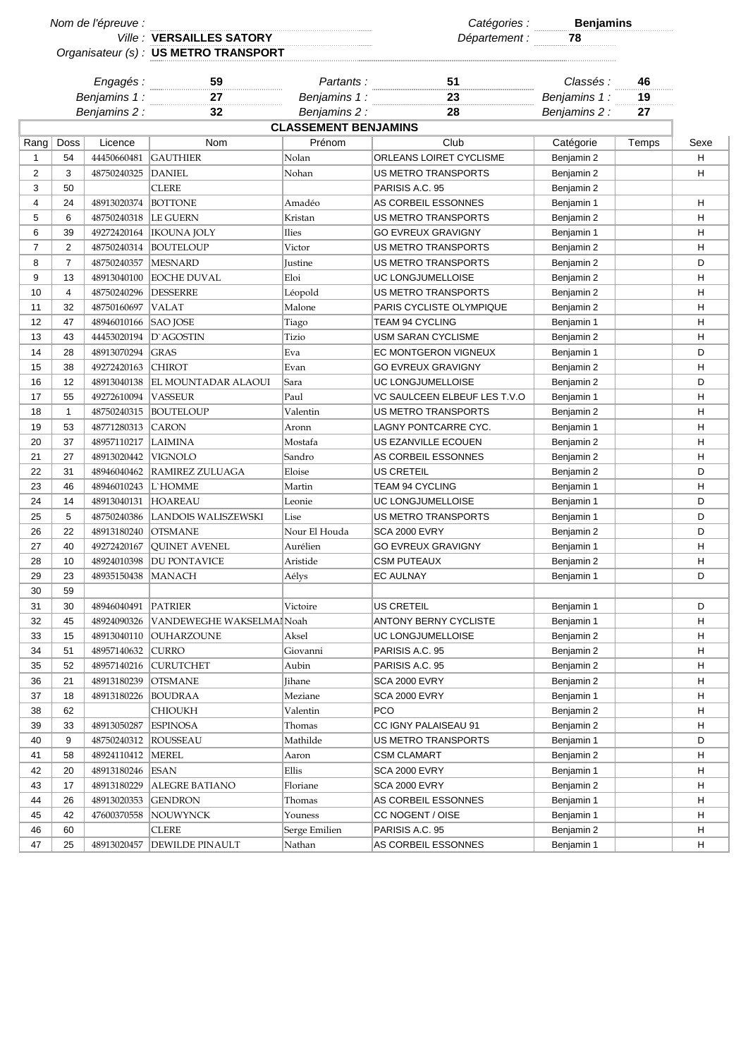| Nom de l'épreuve : |                |                      |                                                    |                             |                                  | Catégories : <b>Benjamins</b><br>Département : 78 |       |      |
|--------------------|----------------|----------------------|----------------------------------------------------|-----------------------------|----------------------------------|---------------------------------------------------|-------|------|
|                    |                |                      | Ville : VERSAILLES SATORY                          |                             |                                  |                                                   |       |      |
|                    |                |                      | Organisateur (s) : US METRO TRANSPORT              |                             |                                  |                                                   |       |      |
|                    |                |                      |                                                    |                             |                                  |                                                   |       |      |
|                    |                |                      | Engagés : 59<br>Aliamins 1 : 27<br>Aliamins 1 : 27 |                             | Partants : 31<br>11 minus 1 : 23 | Classés :                                         | 46    |      |
| Benjamins 1:       |                |                      |                                                    | Benjamins 1:                |                                  | Benjamins 1:                                      | 19    |      |
| Benjamins 2 :      |                |                      | 32                                                 | Benjamins 2 :               | 28                               | Benjamins 2 :                                     | 27    |      |
|                    |                |                      |                                                    | <b>CLASSEMENT BENJAMINS</b> |                                  |                                                   |       |      |
| Rang               | Doss           | Licence              | <b>Nom</b>                                         | Prénom                      | Club                             | Catégorie                                         | Temps | Sexe |
| 1                  | 54             | 44450660481          | <b>GAUTHIER</b>                                    | Nolan                       | ORLEANS LOIRET CYCLISME          | Benjamin 2                                        |       | н    |
| $\overline{2}$     | 3              | 48750240325          | <b>DANIEL</b>                                      | Nohan                       | <b>US METRO TRANSPORTS</b>       | Benjamin 2                                        |       | H    |
| 3                  | 50             |                      | <b>CLERE</b>                                       |                             | PARISIS A.C. 95                  | Benjamin 2                                        |       |      |
| 4                  | 24             | 48913020374          | <b>BOTTONE</b>                                     | Amadéo                      | AS CORBEIL ESSONNES              | Benjamin 1                                        |       | H    |
| 5                  | 6              | 48750240318          | <b>LE GUERN</b>                                    | Kristan                     | US METRO TRANSPORTS              | Benjamin 2                                        |       | H    |
| 6                  | 39             | 49272420164          | <b>IKOUNA JOLY</b>                                 | <b>Ilies</b>                | <b>GO EVREUX GRAVIGNY</b>        | Benjamin 1                                        |       | н    |
| $\overline{7}$     | 2              | 48750240314          | <b>BOUTELOUP</b>                                   | Victor                      | US METRO TRANSPORTS              | Benjamin 2                                        |       | н    |
| 8                  | $\overline{7}$ | 48750240357          | <b>MESNARD</b>                                     | Justine                     | US METRO TRANSPORTS              | Benjamin 2                                        |       | D    |
| 9                  | 13             | 48913040100          | <b>EOCHE DUVAL</b>                                 | Eloi                        | UC LONGJUMELLOISE                | Benjamin 2                                        |       | н    |
| 10                 | $\overline{4}$ | 48750240296          | <b>DESSERRE</b>                                    | Léopold                     | US METRO TRANSPORTS              | Benjamin 2                                        |       | н    |
| 11                 | 32             | 48750160697          | <b>VALAT</b>                                       | Malone                      | PARIS CYCLISTE OLYMPIQUE         | Benjamin 2                                        |       | н    |
| 12                 | 47             | 48946010166          | <b>SAO JOSE</b>                                    | Tiago                       | <b>TEAM 94 CYCLING</b>           | Benjamin 1                                        |       | н    |
| 13                 | 43             |                      | 44453020194 D`AGOSTIN                              | Tizio                       | USM SARAN CYCLISME               | Benjamin 2                                        |       | н    |
| 14                 | 28             | 48913070294          | <b>GRAS</b>                                        | Eva                         | EC MONTGERON VIGNEUX             | Benjamin 1                                        |       | D    |
| 15                 | 38             | 49272420163          | <b>CHIROT</b>                                      | Evan                        | <b>GO EVREUX GRAVIGNY</b>        | Benjamin 2                                        |       | н    |
| 16                 | 12             | 48913040138          | <b>EL MOUNTADAR ALAOUI</b>                         | Sara                        | UC LONGJUMELLOISE                | Benjamin 2                                        |       | D    |
| 17                 | 55             | 49272610094          | <b>VASSEUR</b>                                     | Paul                        | VC SAULCEEN ELBEUF LES T.V.O     | Benjamin 1                                        |       | н    |
| 18                 | $\mathbf{1}$   | 48750240315          | <b>BOUTELOUP</b>                                   | Valentin                    | US METRO TRANSPORTS              | Benjamin 2                                        |       | н    |
| 19                 | 53             | 48771280313          | <b>CARON</b>                                       | Aronn                       | LAGNY PONTCARRE CYC.             | Benjamin 1                                        |       | H    |
| 20                 | 37             | 48957110217          | <b>LAIMINA</b>                                     | Mostafa                     | US EZANVILLE ECOUEN              | Benjamin 2                                        |       | H    |
| 21                 | 27             | 48913020442          | <b>VIGNOLO</b>                                     | Sandro                      | AS CORBEIL ESSONNES              | Benjamin 2                                        |       | H    |
| 22                 | 31             | 48946040462          | <b>RAMIREZ ZULUAGA</b>                             | Eloise                      | <b>US CRETEIL</b>                | Benjamin 2                                        |       | D    |
| 23                 | 46             | 48946010243          | L`HOMME                                            | Martin                      | TEAM 94 CYCLING                  | Benjamin 1                                        |       | н    |
| 24                 | 14             | 48913040131          | <b>HOAREAU</b>                                     | Leonie                      | <b>UC LONGJUMELLOISE</b>         | Benjamin 1                                        |       | D    |
| 25                 | 5              | 48750240386          | LANDOIS WALISZEWSKI                                | Lise                        | US METRO TRANSPORTS              | Benjamin 1                                        |       | D    |
| 26                 | 22             | 48913180240          | <b>OTSMANE</b>                                     | Nour El Houda               | <b>SCA 2000 EVRY</b>             | Benjamin 2                                        |       | D    |
| 27                 | 40             | 49272420167          | <b>QUINET AVENEL</b>                               | Aurélien                    | <b>GO EVREUX GRAVIGNY</b>        | Benjamin 1                                        |       | H    |
| 28                 | 10             | 48924010398          | <b>DU PONTAVICE</b>                                | Aristide                    | <b>CSM PUTEAUX</b>               | Benjamin 2                                        |       | н    |
|                    |                | 48935150438   MANACH |                                                    |                             | <b>EC AULNAY</b>                 |                                                   |       | D    |
| 29<br>30           | 23             |                      |                                                    | Aélys                       |                                  | Benjamin 1                                        |       |      |
| 31                 | 59<br>30       | 48946040491          | <b>PATRIER</b>                                     |                             | US CRETEIL                       |                                                   |       | D    |
|                    |                |                      |                                                    | Victoire                    | <b>ANTONY BERNY CYCLISTE</b>     | Benjamin 1                                        |       |      |
| 32                 | 45             | 48924090326          | VANDEWEGHE WAKSELMAINoah                           |                             |                                  | Benjamin 1                                        |       | Н.   |
| 33                 | 15             | 48913040110          | <b>OUHARZOUNE</b>                                  | Aksel                       | UC LONGJUMELLOISE                | Benjamin 2                                        |       | H    |
| 34                 | 51             | 48957140632          | <b>CURRO</b>                                       | Giovanni                    | PARISIS A.C. 95                  | Benjamin 2                                        |       | н    |
| 35                 | 52             | 48957140216          | <b>CURUTCHET</b>                                   | Aubin                       | PARISIS A.C. 95                  | Benjamin 2                                        |       | н    |
| 36                 | 21             | 48913180239          | <b>OTSMANE</b>                                     | Jihane                      | <b>SCA 2000 EVRY</b>             | Benjamin 2                                        |       | н    |
| 37                 | 18             | 48913180226          | <b>BOUDRAA</b>                                     | Meziane                     | <b>SCA 2000 EVRY</b>             | Benjamin 1                                        |       | н    |
| 38                 | 62             |                      | <b>CHIOUKH</b>                                     | Valentin                    | <b>PCO</b>                       | Benjamin 2                                        |       | H    |
| 39                 | 33             | 48913050287          | <b>ESPINOSA</b>                                    | Thomas                      | CC IGNY PALAISEAU 91             | Benjamin 2                                        |       | H    |
| 40                 | 9              | 48750240312          | <b>ROUSSEAU</b>                                    | Mathilde                    | US METRO TRANSPORTS              | Benjamin 1                                        |       | D    |
| 41                 | 58             | 48924110412          | <b>MEREL</b>                                       | Aaron                       | <b>CSM CLAMART</b>               | Benjamin 2                                        |       | H    |
| 42                 | 20             | 48913180246          | <b>ESAN</b>                                        | Ellis                       | <b>SCA 2000 EVRY</b>             | Benjamin 1                                        |       | н    |
| 43                 | 17             | 48913180229          | <b>ALEGRE BATIANO</b>                              | Floriane                    | SCA 2000 EVRY                    | Benjamin 2                                        |       | H    |
| 44                 | 26             | 48913020353          | <b>GENDRON</b>                                     | Thomas                      | AS CORBEIL ESSONNES              | Benjamin 1                                        |       | H    |
| 45                 | 42             | 47600370558          | NOUWYNCK                                           | Youness                     | CC NOGENT / OISE                 | Benjamin 1                                        |       | Н.   |
| 46                 | 60             |                      | <b>CLERE</b>                                       | Serge Emilien               | PARISIS A.C. 95                  | Benjamin 2                                        |       | H    |
| 47                 | 25             | 48913020457          | <b>DEWILDE PINAULT</b>                             | Nathan                      | AS CORBEIL ESSONNES              | Benjamin 1                                        |       | H.   |